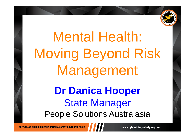

# Mental Health: Moving Beyond Risk Management **Dr Danica Hooper** State Manager People Solutions Australasia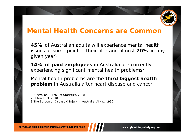

#### **Mental Health Concerns are Common**

**45%** of Australian adults will experience mental health issues at some point in their life; and almost **20%** in any given year 1

**14% of paid employees** in Australia are currently experiencing significant mental health problems $^{\mathsf{2}}$ 

Mental health problems are the **third biggest health problem** in Australia after heart disease and cancer 3

*1 Australian Bureau of Statistics, 2008 2 Hilton et al, 2010 3 The Burden of Disease & Injury in Australia, AIHW, 1999)*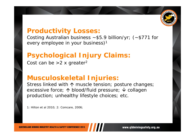

#### **Productivity Losses:**

Costing Australian business  $\sim$  \$5.9 billion/yr; ( $\sim$  \$771 for every employee in your business) 1

# **Psychological Injury Claims:**

Cost can be  $>$ 2 x greater $^{\mathsf{2}}$ 

## **Musculoskeletal Injuries:**

Stress linked with  $\boldsymbol{\uparrow}$  muscle tension; posture changes; excessive force; ↑ blood/fluid pressure; ↓ collagen production; unhealthy lifestyle choices; etc.

*1: Hilton et al 2010; 2: Comcare, 2006;*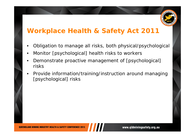

## **Workplace Health & Safety Act 2011**

- •Obligation to manage all risks, both physical/psychological
- •Monitor [psychological] health risks to workers
- • Demonstrate proactive management of [psychological] risks
- • Provide information/training/instruction around managing [psychological] risks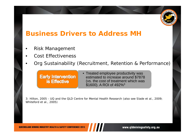

## **Business Drivers to Address MH**

- •Risk Management
- •Cost Effectiveness
- •Org Sustainability (Recruitment, Retention & Performance)

#### **Early Intervention is Effective**

• Treated employee productivity was estimated to increase around \$7878 (vs. the cost of treatment which was  $$1600$ ). A ROI of 492% $^3$ 

*3: Hilton, 2005 - UQ and the QLD Centre for Mental Health Research (also see Slade et al., 2009; Whiteford et al., 2005)*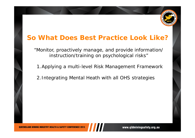

## **So What Does Best Practice Look Like?**

"Monitor, proactively manage, and provide information/ instruction/training on psychological risks"

1.Applying a multi-level Risk Management Framework

2.Integrating Mental Heath with all OHS strategies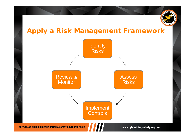

# **Apply a Risk Management Framework**

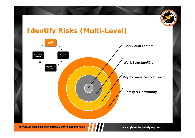

## **Identify Risks (Multi-Level)**

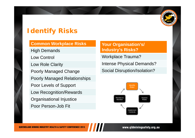

# **Identify Risks**

#### **Common Workplace Risks**

High Demands Low Control Low Role Clarity Poorly Managed Change Poorly Managed Relationships Poor Levels of Support Low Recognition/Rewards Organisational Injustice Poor Person-Job Fit

#### **Your Organisation's/ Industry's Risks?**

Workplace Trauma?

Intense Physical Demands?

Social Disruption/Isolation?

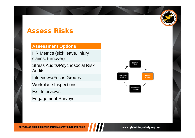## **Assess Risks**

#### **Assessment Options**

HR Metrics (sick leave, injury claims, turnover)

Stress Audits/Psychosocial Risk Audits

Interviews/Focus Groups

Workplace Inspections

Exit Interviews

Engagement Surveys



**AININ** QL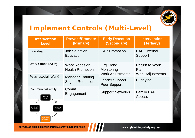

# **Implement Controls (Multi-Level)**

| <b>Intervention</b><br><b>Level</b>                                  | <b>Prevent/Promote</b><br>(Primary)                | <b>Early Detection</b><br>(Secondary)                     | <b>Intervention</b><br>(Tertiary)                        |
|----------------------------------------------------------------------|----------------------------------------------------|-----------------------------------------------------------|----------------------------------------------------------|
| Individual                                                           | <b>Job Selection</b><br>Education                  | <b>EAP Promotion</b>                                      | <b>EAP/External</b><br>Support                           |
| <b>Work Structure/Org</b>                                            | <b>Work Redesign</b><br><b>Health Promotion</b>    | <b>Org Trend</b><br>Monitoring<br><b>Work Adjustments</b> | <b>Return to Work</b><br>Plan<br><b>Work Adjustments</b> |
| Psychosocial (Work)                                                  | <b>Manager Training</b><br><b>Stigma Reduction</b> | <b>Leader Support</b><br><b>Peer Support</b>              | <b>Buddying</b>                                          |
| Community/Family<br>Identify<br><b>Risks</b>                         | Comm.<br>Engagement                                | <b>Support Networks</b>                                   | <b>Family EAP</b><br><b>Access</b>                       |
| Review &<br>Assess<br><b>Risks</b><br>Monitor<br>mplemen<br>Controls |                                                    |                                                           |                                                          |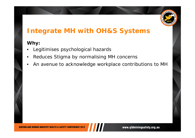

# **Integrate MH with OH&S Systems**

#### **Why:**

- •Legitimises psychological hazards
- •Reduces Stigma by normalising MH concerns
- •An avenue to acknowledge workplace contributions to MH